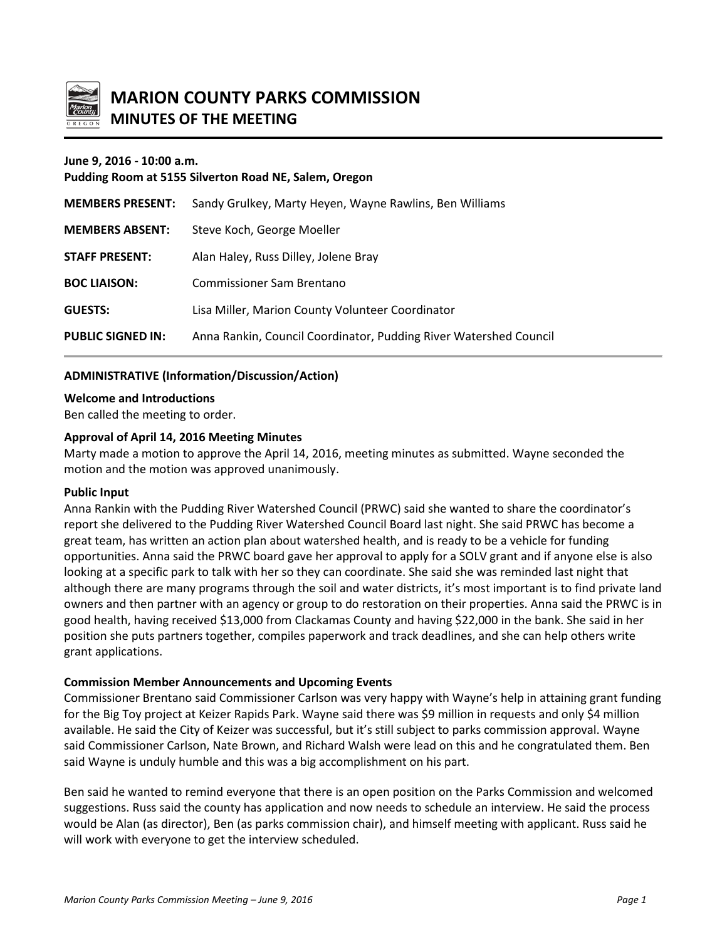

# **MARION COUNTY PARKS COMMISSION MINUTES OF THE MEETING**

#### **June 9, 2016 - 10:00 a.m.**

| Pudding Room at 5155 Silverton Road NE, Salem, Oregon |                                                                   |
|-------------------------------------------------------|-------------------------------------------------------------------|
| <b>MEMBERS PRESENT:</b>                               | Sandy Grulkey, Marty Heyen, Wayne Rawlins, Ben Williams           |
| <b>MEMBERS ABSENT:</b>                                | Steve Koch, George Moeller                                        |
| <b>STAFF PRESENT:</b>                                 | Alan Haley, Russ Dilley, Jolene Bray                              |
| <b>BOC LIAISON:</b>                                   | Commissioner Sam Brentano                                         |
| <b>GUESTS:</b>                                        | Lisa Miller, Marion County Volunteer Coordinator                  |
| <b>PUBLIC SIGNED IN:</b>                              | Anna Rankin, Council Coordinator, Pudding River Watershed Council |

### **ADMINISTRATIVE (Information/Discussion/Action)**

#### **Welcome and Introductions**

Ben called the meeting to order.

#### **Approval of April 14, 2016 Meeting Minutes**

Marty made a motion to approve the April 14, 2016, meeting minutes as submitted. Wayne seconded the motion and the motion was approved unanimously.

#### **Public Input**

Anna Rankin with the Pudding River Watershed Council (PRWC) said she wanted to share the coordinator's report she delivered to the Pudding River Watershed Council Board last night. She said PRWC has become a great team, has written an action plan about watershed health, and is ready to be a vehicle for funding opportunities. Anna said the PRWC board gave her approval to apply for a SOLV grant and if anyone else is also looking at a specific park to talk with her so they can coordinate. She said she was reminded last night that although there are many programs through the soil and water districts, it's most important is to find private land owners and then partner with an agency or group to do restoration on their properties. Anna said the PRWC is in good health, having received \$13,000 from Clackamas County and having \$22,000 in the bank. She said in her position she puts partners together, compiles paperwork and track deadlines, and she can help others write grant applications.

#### **Commission Member Announcements and Upcoming Events**

Commissioner Brentano said Commissioner Carlson was very happy with Wayne's help in attaining grant funding for the Big Toy project at Keizer Rapids Park. Wayne said there was \$9 million in requests and only \$4 million available. He said the City of Keizer was successful, but it's still subject to parks commission approval. Wayne said Commissioner Carlson, Nate Brown, and Richard Walsh were lead on this and he congratulated them. Ben said Wayne is unduly humble and this was a big accomplishment on his part.

Ben said he wanted to remind everyone that there is an open position on the Parks Commission and welcomed suggestions. Russ said the county has application and now needs to schedule an interview. He said the process would be Alan (as director), Ben (as parks commission chair), and himself meeting with applicant. Russ said he will work with everyone to get the interview scheduled.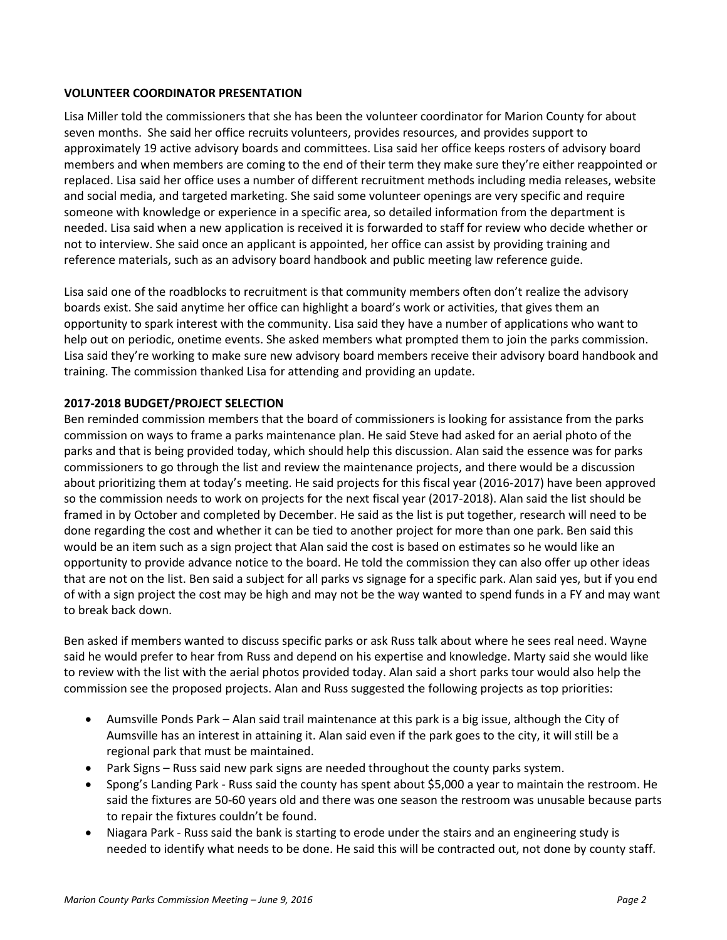#### **VOLUNTEER COORDINATOR PRESENTATION**

Lisa Miller told the commissioners that she has been the volunteer coordinator for Marion County for about seven months. She said her office recruits volunteers, provides resources, and provides support to approximately 19 active advisory boards and committees. Lisa said her office keeps rosters of advisory board members and when members are coming to the end of their term they make sure they're either reappointed or replaced. Lisa said her office uses a number of different recruitment methods including media releases, website and social media, and targeted marketing. She said some volunteer openings are very specific and require someone with knowledge or experience in a specific area, so detailed information from the department is needed. Lisa said when a new application is received it is forwarded to staff for review who decide whether or not to interview. She said once an applicant is appointed, her office can assist by providing training and reference materials, such as an advisory board handbook and public meeting law reference guide.

Lisa said one of the roadblocks to recruitment is that community members often don't realize the advisory boards exist. She said anytime her office can highlight a board's work or activities, that gives them an opportunity to spark interest with the community. Lisa said they have a number of applications who want to help out on periodic, onetime events. She asked members what prompted them to join the parks commission. Lisa said they're working to make sure new advisory board members receive their advisory board handbook and training. The commission thanked Lisa for attending and providing an update.

## **2017-2018 BUDGET/PROJECT SELECTION**

Ben reminded commission members that the board of commissioners is looking for assistance from the parks commission on ways to frame a parks maintenance plan. He said Steve had asked for an aerial photo of the parks and that is being provided today, which should help this discussion. Alan said the essence was for parks commissioners to go through the list and review the maintenance projects, and there would be a discussion about prioritizing them at today's meeting. He said projects for this fiscal year (2016-2017) have been approved so the commission needs to work on projects for the next fiscal year (2017-2018). Alan said the list should be framed in by October and completed by December. He said as the list is put together, research will need to be done regarding the cost and whether it can be tied to another project for more than one park. Ben said this would be an item such as a sign project that Alan said the cost is based on estimates so he would like an opportunity to provide advance notice to the board. He told the commission they can also offer up other ideas that are not on the list. Ben said a subject for all parks vs signage for a specific park. Alan said yes, but if you end of with a sign project the cost may be high and may not be the way wanted to spend funds in a FY and may want to break back down.

Ben asked if members wanted to discuss specific parks or ask Russ talk about where he sees real need. Wayne said he would prefer to hear from Russ and depend on his expertise and knowledge. Marty said she would like to review with the list with the aerial photos provided today. Alan said a short parks tour would also help the commission see the proposed projects. Alan and Russ suggested the following projects as top priorities:

- Aumsville Ponds Park Alan said trail maintenance at this park is a big issue, although the City of Aumsville has an interest in attaining it. Alan said even if the park goes to the city, it will still be a regional park that must be maintained.
- Park Signs Russ said new park signs are needed throughout the county parks system.
- Spong's Landing Park Russ said the county has spent about \$5,000 a year to maintain the restroom. He said the fixtures are 50-60 years old and there was one season the restroom was unusable because parts to repair the fixtures couldn't be found.
- Niagara Park Russ said the bank is starting to erode under the stairs and an engineering study is needed to identify what needs to be done. He said this will be contracted out, not done by county staff.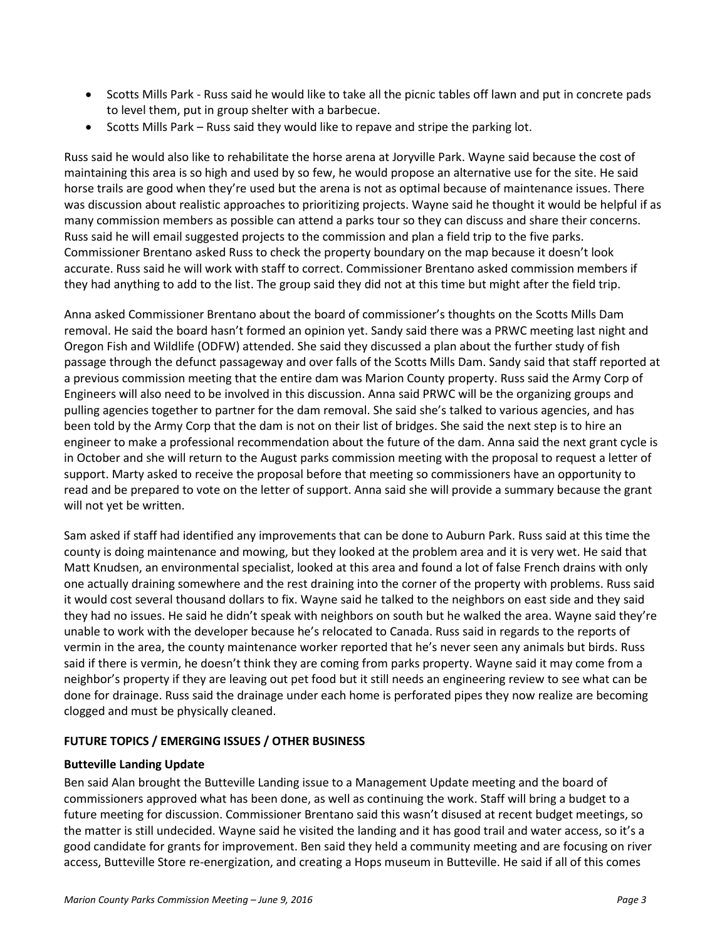- Scotts Mills Park Russ said he would like to take all the picnic tables off lawn and put in concrete pads to level them, put in group shelter with a barbecue.
- Scotts Mills Park Russ said they would like to repave and stripe the parking lot.

Russ said he would also like to rehabilitate the horse arena at Joryville Park. Wayne said because the cost of maintaining this area is so high and used by so few, he would propose an alternative use for the site. He said horse trails are good when they're used but the arena is not as optimal because of maintenance issues. There was discussion about realistic approaches to prioritizing projects. Wayne said he thought it would be helpful if as many commission members as possible can attend a parks tour so they can discuss and share their concerns. Russ said he will email suggested projects to the commission and plan a field trip to the five parks. Commissioner Brentano asked Russ to check the property boundary on the map because it doesn't look accurate. Russ said he will work with staff to correct. Commissioner Brentano asked commission members if they had anything to add to the list. The group said they did not at this time but might after the field trip.

Anna asked Commissioner Brentano about the board of commissioner's thoughts on the Scotts Mills Dam removal. He said the board hasn't formed an opinion yet. Sandy said there was a PRWC meeting last night and Oregon Fish and Wildlife (ODFW) attended. She said they discussed a plan about the further study of fish passage through the defunct passageway and over falls of the Scotts Mills Dam. Sandy said that staff reported at a previous commission meeting that the entire dam was Marion County property. Russ said the Army Corp of Engineers will also need to be involved in this discussion. Anna said PRWC will be the organizing groups and pulling agencies together to partner for the dam removal. She said she's talked to various agencies, and has been told by the Army Corp that the dam is not on their list of bridges. She said the next step is to hire an engineer to make a professional recommendation about the future of the dam. Anna said the next grant cycle is in October and she will return to the August parks commission meeting with the proposal to request a letter of support. Marty asked to receive the proposal before that meeting so commissioners have an opportunity to read and be prepared to vote on the letter of support. Anna said she will provide a summary because the grant will not yet be written.

Sam asked if staff had identified any improvements that can be done to Auburn Park. Russ said at this time the county is doing maintenance and mowing, but they looked at the problem area and it is very wet. He said that Matt Knudsen, an environmental specialist, looked at this area and found a lot of false French drains with only one actually draining somewhere and the rest draining into the corner of the property with problems. Russ said it would cost several thousand dollars to fix. Wayne said he talked to the neighbors on east side and they said they had no issues. He said he didn't speak with neighbors on south but he walked the area. Wayne said they're unable to work with the developer because he's relocated to Canada. Russ said in regards to the reports of vermin in the area, the county maintenance worker reported that he's never seen any animals but birds. Russ said if there is vermin, he doesn't think they are coming from parks property. Wayne said it may come from a neighbor's property if they are leaving out pet food but it still needs an engineering review to see what can be done for drainage. Russ said the drainage under each home is perforated pipes they now realize are becoming clogged and must be physically cleaned.

## **FUTURE TOPICS / EMERGING ISSUES / OTHER BUSINESS**

#### **Butteville Landing Update**

Ben said Alan brought the Butteville Landing issue to a Management Update meeting and the board of commissioners approved what has been done, as well as continuing the work. Staff will bring a budget to a future meeting for discussion. Commissioner Brentano said this wasn't disused at recent budget meetings, so the matter is still undecided. Wayne said he visited the landing and it has good trail and water access, so it's a good candidate for grants for improvement. Ben said they held a community meeting and are focusing on river access, Butteville Store re-energization, and creating a Hops museum in Butteville. He said if all of this comes